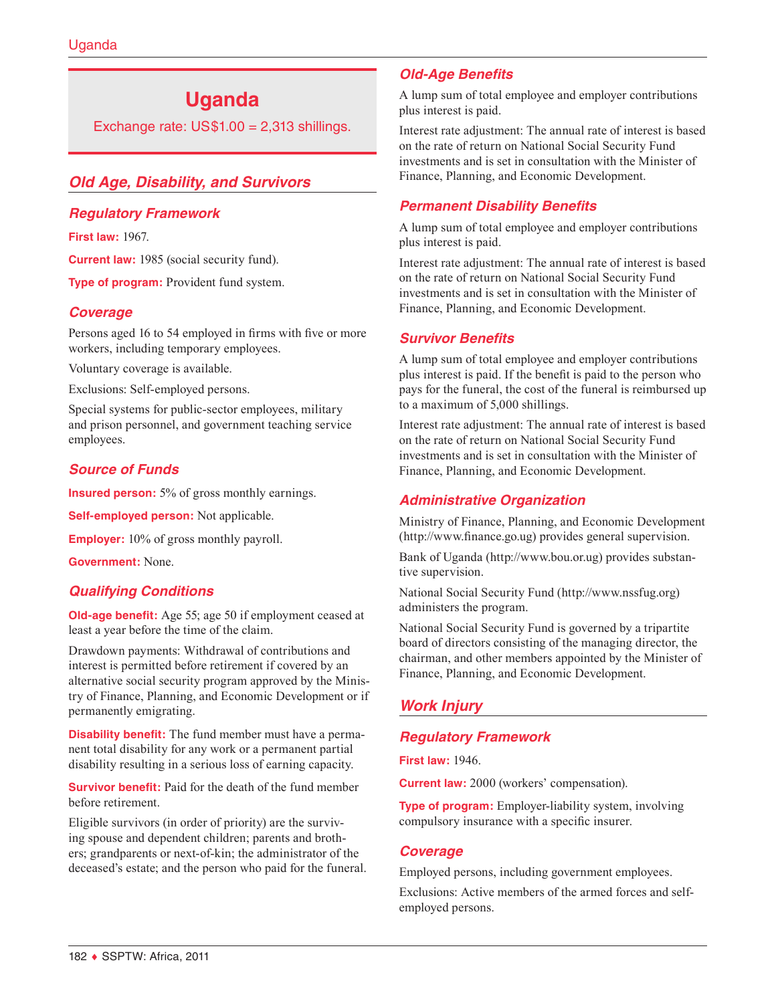# **Uganda**

Exchange rate:  $US$1.00 = 2,313$  shillings.

# *Old Age, Disability, and Survivors*

## *Regulatory Framework*

**First law:** 1967.

**Current law:** 1985 (social security fund).

**Type of program:** Provident fund system.

# *Coverage*

Persons aged 16 to 54 employed in firms with five or more workers, including temporary employees.

Voluntary coverage is available.

Exclusions: Self-employed persons.

Special systems for public-sector employees, military and prison personnel, and government teaching service employees.

# *Source of Funds*

**Insured person:** 5% of gross monthly earnings.

**Self-employed person:** Not applicable.

**Employer:** 10% of gross monthly payroll.

**Government:** None.

## *Qualifying Conditions*

**Old-age benefit:** Age 55; age 50 if employment ceased at least a year before the time of the claim.

Drawdown payments: Withdrawal of contributions and interest is permitted before retirement if covered by an alternative social security program approved by the Ministry of Finance, Planning, and Economic Development or if permanently emigrating.

**Disability benefit:** The fund member must have a permanent total disability for any work or a permanent partial disability resulting in a serious loss of earning capacity.

**Survivor benefit:** Paid for the death of the fund member before retirement.

Eligible survivors (in order of priority) are the surviving spouse and dependent children; parents and brothers; grandparents or next-of-kin; the administrator of the deceased's estate; and the person who paid for the funeral.

# *Old-Age Benefits*

A lump sum of total employee and employer contributions plus interest is paid.

Interest rate adjustment: The annual rate of interest is based on the rate of return on National Social Security Fund investments and is set in consultation with the Minister of Finance, Planning, and Economic Development.

# *Permanent Disability Benefits*

A lump sum of total employee and employer contributions plus interest is paid.

Interest rate adjustment: The annual rate of interest is based on the rate of return on National Social Security Fund investments and is set in consultation with the Minister of Finance, Planning, and Economic Development.

## *Survivor Benefits*

A lump sum of total employee and employer contributions plus interest is paid. If the benefit is paid to the person who pays for the funeral, the cost of the funeral is reimbursed up to a maximum of 5,000 shillings.

Interest rate adjustment: The annual rate of interest is based on the rate of return on National Social Security Fund investments and is set in consultation with the Minister of Finance, Planning, and Economic Development.

## *Administrative Organization*

Ministry of Finance, Planning, and Economic Development (<http://www.finance.go.ug>) provides general supervision.

Bank of Uganda (<http://www.bou.or.ug>) provides substantive supervision.

National Social Security Fund [\(http://www.nssfug.org](http://www.nssfug.org)) administers the program.

National Social Security Fund is governed by a tripartite board of directors consisting of the managing director, the chairman, and other members appointed by the Minister of Finance, Planning, and Economic Development.

# *Work Injury*

# *Regulatory Framework*

**First law:** 1946.

**Current law:** 2000 (workers' compensation).

**Type of program:** Employer-liability system, involving compulsory insurance with a specific insurer.

## *Coverage*

Employed persons, including government employees.

Exclusions: Active members of the armed forces and selfemployed persons.